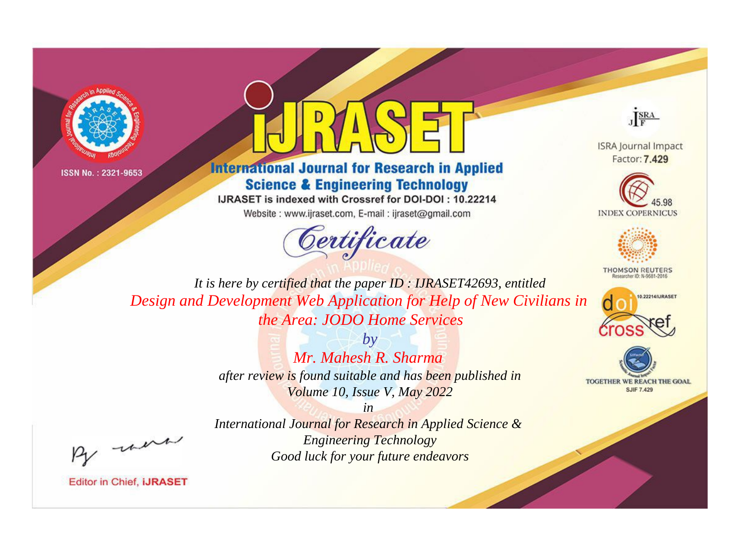



## **International Journal for Research in Applied Science & Engineering Technology**

IJRASET is indexed with Crossref for DOI-DOI: 10.22214

Website: www.ijraset.com, E-mail: ijraset@gmail.com



JERA

**ISRA Journal Impact** Factor: 7.429





**THOMSON REUTERS** 



TOGETHER WE REACH THE GOAL **SJIF 7.429** 

It is here by certified that the paper ID: IJRASET42693, entitled Design and Development Web Application for Help of New Civilians in the Area: JODO Home Services

> $b\nu$ Mr. Mahesh R. Sharma after review is found suitable and has been published in Volume 10, Issue V, May 2022

were

International Journal for Research in Applied Science & **Engineering Technology** Good luck for your future endeavors

 $in$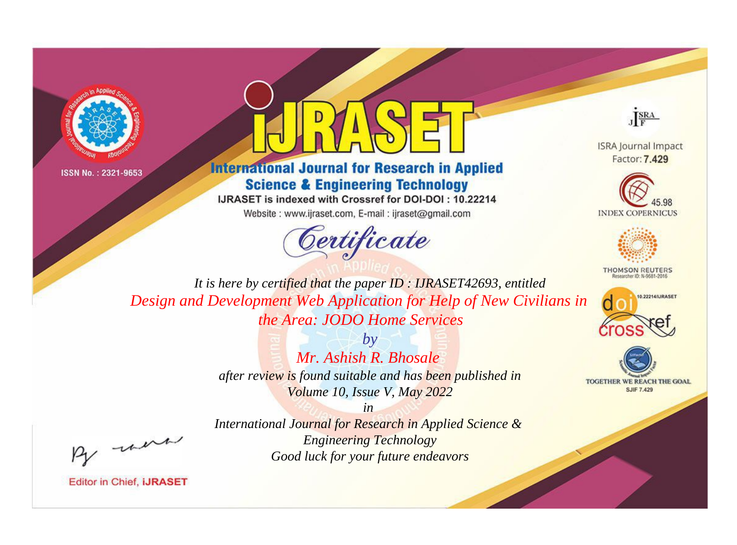



**International Journal for Research in Applied Science & Engineering Technology** 

IJRASET is indexed with Crossref for DOI-DOI: 10.22214

Website: www.ijraset.com, E-mail: ijraset@gmail.com



JERA

**ISRA Journal Impact** Factor: 7.429





**THOMSON REUTERS** 



TOGETHER WE REACH THE GOAL **SJIF 7.429** 

It is here by certified that the paper ID: IJRASET42693, entitled Design and Development Web Application for Help of New Civilians in the Area: JODO Home Services

> $b\nu$ Mr. Ashish R. Bhosale after review is found suitable and has been published in Volume 10, Issue V, May 2022

were

International Journal for Research in Applied Science & **Engineering Technology** Good luck for your future endeavors

 $in$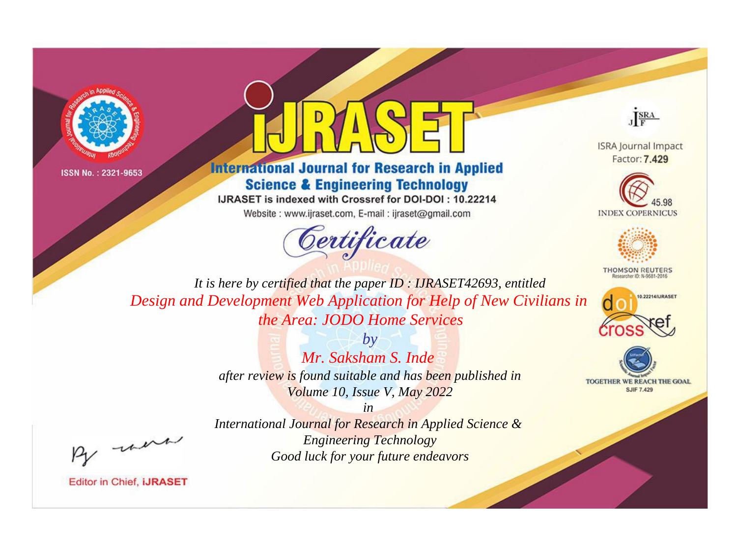



**International Journal for Research in Applied Science & Engineering Technology** 

IJRASET is indexed with Crossref for DOI-DOI: 10.22214

Website: www.ijraset.com, E-mail: ijraset@gmail.com



JERA

**ISRA Journal Impact** Factor: 7.429





**THOMSON REUTERS** 



TOGETHER WE REACH THE GOAL **SJIF 7.429** 

It is here by certified that the paper ID: IJRASET42693, entitled Design and Development Web Application for Help of New Civilians in the Area: JODO Home Services

> $b\nu$ Mr. Saksham S. Inde after review is found suitable and has been published in Volume 10, Issue V, May 2022

were

International Journal for Research in Applied Science & **Engineering Technology** Good luck for your future endeavors

 $in$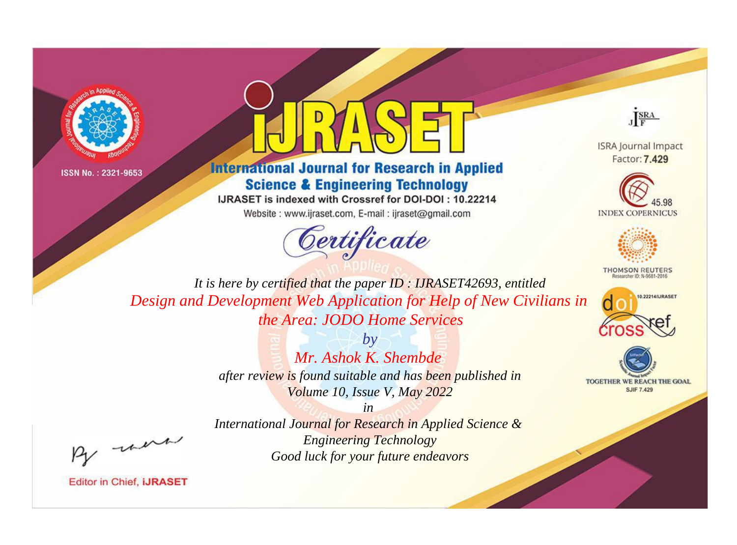



## **International Journal for Research in Applied Science & Engineering Technology**

IJRASET is indexed with Crossref for DOI-DOI: 10.22214

Website: www.ijraset.com, E-mail: ijraset@gmail.com





**ISRA Journal Impact** Factor: 7.429





**THOMSON REUTERS** 



TOGETHER WE REACH THE GOAL **SJIF 7.429** 

*It is here by certified that the paper ID : IJRASET42693, entitled Design and Development Web Application for Help of New Civilians in the Area: JODO Home Services*

> *by Mr. Ashok K. Shembde after review is found suitable and has been published in Volume 10, Issue V, May 2022*

, un

*in International Journal for Research in Applied Science & Engineering Technology Good luck for your future endeavors*